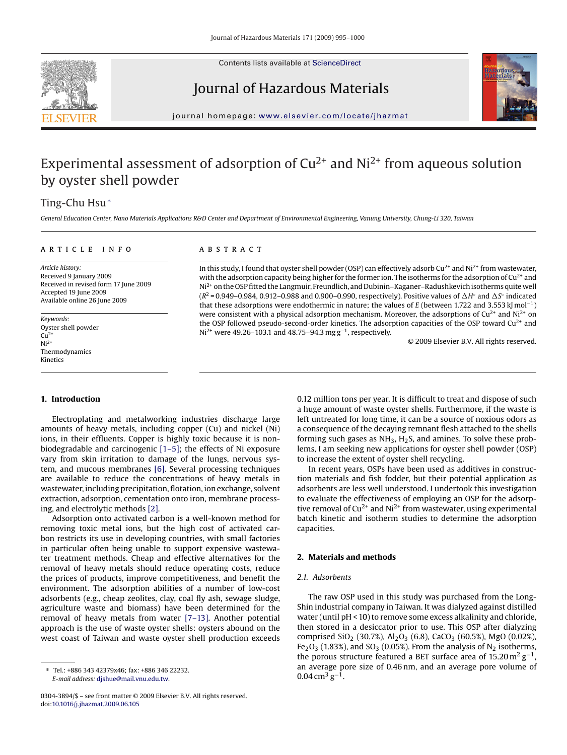

Contents lists available at [ScienceDirect](http://www.sciencedirect.com/science/journal/03043894)

Journal of Hazardous Materials



journal homepage: [www.elsevier.com/locate/jhazmat](http://www.elsevier.com/locate/jhazmat)

## Experimental assessment of adsorption of  $Cu^{2+}$  and  $Ni^{2+}$  from aqueous solution by oyster shell powder

## Ting-Chu Hsu<sup>∗</sup>

*General Education Center, Nano Materials Applications R&D Center and Department of Environmental Engineering, Vanung University, Chung-Li 320, Taiwan*

#### article info

*Article history:* Received 9 January 2009 Received in revised form 17 June 2009 Accepted 19 June 2009 Available online 26 June 2009

*Keywords:* Oyster shell powder  $Cu<sup>2+</sup>$  $Ni<sup>2+</sup>$ Thermodynamics Kinetics

# **ABSTRACT**

In this study, I found that oyster shell powder (OSP) can effectively adsorb  $Cu^{2+}$  and Ni<sup>2+</sup> from wastewater, with the adsorption capacity being higher for the former ion. The isotherms for the adsorption of  $Cu^{2+}$  and Ni2+ on the OSP fitted the Langmuir, Freundlich, and Dubinin–Kaganer–Radushkevich isotherms quite well (*R*<sup>2</sup> = 0.949–0.984, 0.912–0.988 and 0.900–0.990, respectively). Positive values of ∆H° and ∆S° indicated that these adsorptions were endothermic in nature; the values of *E* (between 1.722 and 3.553 kJ mol−1) were consistent with a physical adsorption mechanism. Moreover, the adsorptions of  $Cu^{2+}$  and Ni<sup>2+</sup> on the OSP followed pseudo-second-order kinetics. The adsorption capacities of the OSP toward  $Cu^{2+}$  and Ni<sup>2+</sup> were 49.26–103.1 and 48.75–94.3 mg g<sup>-1</sup>, respectively.

© 2009 Elsevier B.V. All rights reserved.

#### **1. Introduction**

Electroplating and metalworking industries discharge large amounts of heavy metals, including copper (Cu) and nickel (Ni) ions, in their effluents. Copper is highly toxic because it is nonbiodegradable and carcinogenic [\[1–5\];](#page-5-0) the effects of Ni exposure vary from skin irritation to damage of the lungs, nervous system, and mucous membranes [\[6\].](#page-5-0) Several processing techniques are available to reduce the concentrations of heavy metals in wastewater, including precipitation, flotation, ion exchange, solvent extraction, adsorption, cementation onto iron, membrane processing, and electrolytic methods [\[2\].](#page-5-0)

Adsorption onto activated carbon is a well-known method for removing toxic metal ions, but the high cost of activated carbon restricts its use in developing countries, with small factories in particular often being unable to support expensive wastewater treatment methods. Cheap and effective alternatives for the removal of heavy metals should reduce operating costs, reduce the prices of products, improve competitiveness, and benefit the environment. The adsorption abilities of a number of low-cost adsorbents (e.g., cheap zeolites, clay, coal fly ash, sewage sludge, agriculture waste and biomass) have been determined for the removal of heavy metals from water [\[7–13\].](#page-5-0) Another potential approach is the use of waste oyster shells: oysters abound on the west coast of Taiwan and waste oyster shell production exceeds

0.12 million tons per year. It is difficult to treat and dispose of such a huge amount of waste oyster shells. Furthermore, if the waste is left untreated for long time, it can be a source of noxious odors as a consequence of the decaying remnant flesh attached to the shells forming such gases as  $NH<sub>3</sub>$ ,  $H<sub>2</sub>S$ , and amines. To solve these problems, I am seeking new applications for oyster shell powder (OSP) to increase the extent of oyster shell recycling.

In recent years, OSPs have been used as additives in construction materials and fish fodder, but their potential application as adsorbents are less well understood. I undertook this investigation to evaluate the effectiveness of employing an OSP for the adsorptive removal of  $Cu^{2+}$  and Ni<sup>2+</sup> from wastewater, using experimental batch kinetic and isotherm studies to determine the adsorption capacities.

## **2. Materials and methods**

## *2.1. Adsorbents*

The raw OSP used in this study was purchased from the Long-Shin industrial company in Taiwan. It was dialyzed against distilled water (until pH < 10) to remove some excess alkalinity and chloride, then stored in a desiccator prior to use. This OSP after dialyzing comprised SiO<sub>2</sub> (30.7%), Al<sub>2</sub>O<sub>3</sub> (6.8), CaCO<sub>3</sub> (60.5%), MgO (0.02%), Fe<sub>2</sub>O<sub>3</sub> (1.83%), and SO<sub>3</sub> (0.05%). From the analysis of N<sub>2</sub> isotherms, the porous structure featured a BET surface area of  $15.20 \text{ m}^2 \text{ g}^{-1}$ , an average pore size of 0.46 nm, and an average pore volume of  $0.04 \,\mathrm{cm^3\,g^{-1}}$ .

<sup>∗</sup> Tel.: +886 343 42379x46; fax: +886 346 22232. *E-mail address:* [djshue@mail.vnu.edu.tw.](mailto:djshue@mail.vnu.edu.tw)

<sup>0304-3894/\$ –</sup> see front matter © 2009 Elsevier B.V. All rights reserved. doi:[10.1016/j.jhazmat.2009.06.105](dx.doi.org/10.1016/j.jhazmat.2009.06.105)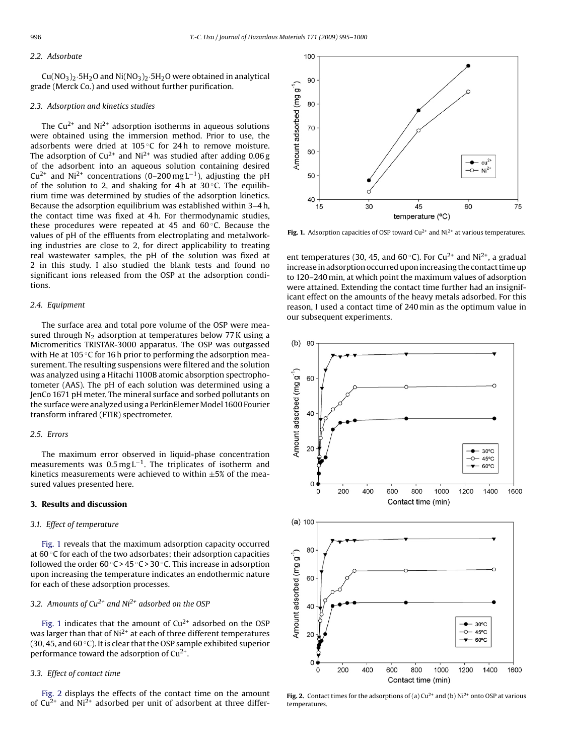## *2.2. Adsorbate*

 $Cu(NO<sub>3</sub>)<sub>2</sub>·5H<sub>2</sub>O$  and  $Ni(NO<sub>3</sub>)<sub>2</sub>·5H<sub>2</sub>O$  were obtained in analytical grade (Merck Co.) and used without further purification.

## *2.3. Adsorption and kinetics studies*

The  $Cu^{2+}$  and  $Ni^{2+}$  adsorption isotherms in aqueous solutions were obtained using the immersion method. Prior to use, the adsorbents were dried at 105 ◦C for 24 h to remove moisture. The adsorption of  $Cu^{2+}$  and Ni<sup>2+</sup> was studied after adding 0.06 g of the adsorbent into an aqueous solution containing desired  $Cu^{2+}$  and Ni<sup>2+</sup> concentrations (0–200 mg L<sup>-1</sup>), adjusting the pH of the solution to 2, and shaking for 4h at  $30^{\circ}$ C. The equilibrium time was determined by studies of the adsorption kinetics. Because the adsorption equilibrium was established within 3–4 h, the contact time was fixed at 4 h. For thermodynamic studies, these procedures were repeated at 45 and  $60^{\circ}$ C. Because the values of pH of the effluents from electroplating and metalworking industries are close to 2, for direct applicability to treating real wastewater samples, the pH of the solution was fixed at 2 in this study. I also studied the blank tests and found no significant ions released from the OSP at the adsorption conditions.

## *2.4. Equipment*

The surface area and total pore volume of the OSP were measured through  $N_2$  adsorption at temperatures below 77 K using a Micromeritics TRISTAR-3000 apparatus. The OSP was outgassed with He at 105 ℃ for 16 h prior to performing the adsorption measurement. The resulting suspensions were filtered and the solution was analyzed using a Hitachi 1100B atomic absorption spectrophotometer (AAS). The pH of each solution was determined using a JenCo 1671 pH meter. The mineral surface and sorbed pollutants on the surface were analyzed using a PerkinElemer Model 1600 Fourier transform infrared (FTIR) spectrometer.

#### *2.5. Errors*

The maximum error observed in liquid-phase concentration measurements was  $0.5 \text{ mg L}^{-1}$ . The triplicates of isotherm and kinetics measurements were achieved to within  $\pm 5\%$  of the measured values presented here.

## **3. Results and discussion**

## *3.1. Effect of temperature*

Fig. 1 reveals that the maximum adsorption capacity occurred at 60 ◦C for each of the two adsorbates; their adsorption capacities followed the order  $60^\circ$ C >  $45^\circ$ C > 30 $^\circ$ C. This increase in adsorption upon increasing the temperature indicates an endothermic nature for each of these adsorption processes.

## *3.2. Amounts of Cu2+ and Ni2+ adsorbed on the OSP*

Fig. 1 indicates that the amount of  $Cu^{2+}$  adsorbed on the OSP was larger than that of  $Ni<sup>2+</sup>$  at each of three different temperatures (30, 45, and 60 $\degree$ C). It is clear that the OSP sample exhibited superior performance toward the adsorption of  $Cu^{2+}$ .

## *3.3. Effect of contact time*

Fig. 2 displays the effects of the contact time on the amount of  $Cu^{2+}$  and Ni<sup>2+</sup> adsorbed per unit of adsorbent at three differ-



**Fig. 1.** Adsorption capacities of OSP toward  $Cu^{2+}$  and  $Ni^{2+}$  at various temperatures.

ent temperatures (30, 45, and 60 °C). For Cu<sup>2+</sup> and Ni<sup>2+</sup>, a gradual increase in adsorption occurred upon increasing the contact time up to 120–240 min, at which point the maximum values of adsorption were attained. Extending the contact time further had an insignificant effect on the amounts of the heavy metals adsorbed. For this reason, I used a contact time of 240 min as the optimum value in our subsequent experiments.



**Fig. 2.** Contact times for the adsorptions of (a)  $Cu^{2+}$  and (b)  $Ni^{2+}$  onto OSP at various temperatures.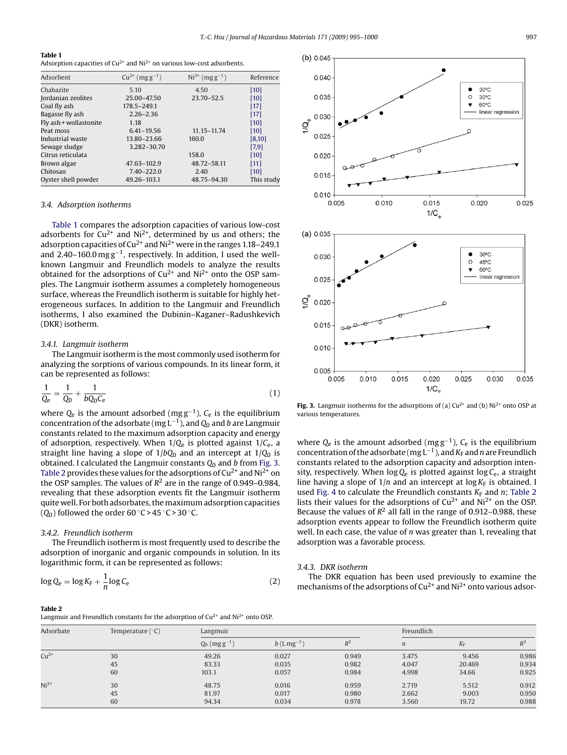#### **Table 1**

Adsorption capacities of  $Cu^{2+}$  and  $Ni^{2+}$  on various low-cost adsorbents.

| Adsorbent              | $Cu^{2+} (mgg^{-1})$ | $Ni^{2+} (mgg^{-1})$ | Reference  |
|------------------------|----------------------|----------------------|------------|
| Chabazite              | 5.10                 | 4.50                 | [10]       |
| Jordanian zeolites     | 25.00-47.50          | 23.70-52.5           | [10]       |
| Coal fly ash           | 178.5-249.1          |                      | [17]       |
| Bagasse fly ash        | $2.26 - 2.36$        |                      | $[17]$     |
| Fly ash + wollastonite | 1.18                 |                      | [10]       |
| Peat moss              | $6.41 - 19.56$       | 11.15-11.74          | [10]       |
| Industrial waste       | 13.80-23.66          | 160.0                | [8,10]     |
| Sewage sludge          | 3.282-30.70          |                      | $[7,9]$    |
| Citrus reticulata      |                      | 158.0                | [10]       |
| Brown algae            | 47.63-102.9          | 48.72-58.11          | [11]       |
| Chitosan               | 7.40-222.0           | 2.40                 | [10]       |
| Oyster shell powder    | 49.26-103.1          | 48.75-94.30          | This study |

#### *3.4. Adsorption isotherms*

Table 1 compares the adsorption capacities of various low-cost adsorbents for  $Cu^{2+}$  and  $Ni^{2+}$ , determined by us and others; the adsorption capacities of Cu<sup>2+</sup> and Ni<sup>2+</sup> were in the ranges 1.18–249.1 and 2.40–160.0 mg g−1, respectively. In addition, I used the wellknown Langmuir and Freundlich models to analyze the results obtained for the adsorptions of  $Cu^{2+}$  and  $Ni^{2+}$  onto the OSP samples. The Langmuir isotherm assumes a completely homogeneous surface, whereas the Freundlich isotherm is suitable for highly heterogeneous surfaces. In addition to the Langmuir and Freundlich isotherms, I also examined the Dubinin–Kaganer–Radushkevich (DKR) isotherm.

#### *3.4.1. Langmuir isotherm*

The Langmuir isotherm is the most commonly used isotherm for analyzing the sorptions of various compounds. In its linear form, it can be represented as follows:

$$
\frac{1}{Q_{e}} = \frac{1}{Q_{0}} + \frac{1}{bQ_{0}C_{e}}
$$
\n(1)

where *Q*<sup>e</sup> is the amount adsorbed (mg g−1), *C*<sup>e</sup> is the equilibrium concentration of the adsorbate (mg L−1), and *Q*<sup>0</sup> and *b* are Langmuir constants related to the maximum adsorption capacity and energy of adsorption, respectively. When 1/*Q*<sup>e</sup> is plotted against 1/*C*e, a straight line having a slope of  $1/bQ_0$  and an intercept at  $1/Q_0$  is obtained. I calculated the Langmuir constants *Q*<sup>0</sup> and *b* from Fig. 3. Table 2 provides these values for the adsorptions of  $Cu^{2+}$  and  $Ni^{2+}$  on the OSP samples. The values of  $R^2$  are in the range of 0.949–0.984, revealing that these adsorption events fit the Langmuir isotherm quite well. For both adsorbates, the maximum adsorption capacities  $(O_0)$  followed the order 60 °C > 45 °C > 30 °C.

#### *3.4.2. Freundlich isotherm*

The Freundlich isotherm is most frequently used to describe the adsorption of inorganic and organic compounds in solution. In its logarithmic form, it can be represented as follows:

$$
\log Q_{\rm e} = \log K_{\rm F} + \frac{1}{n} \log C_{\rm e} \tag{2}
$$



**Fig. 3.** Langmuir isotherms for the adsorptions of (a)  $Cu^{2+}$  and (b)  $Ni^{2+}$  onto OSP at various temperatures.

where *Q*<sup>e</sup> is the amount adsorbed (mg g−1), *C*<sup>e</sup> is the equilibrium concentration of the adsorbate (mg L<sup>-1</sup>), and *K*<sub>F</sub> and *n* are Freundlich constants related to the adsorption capacity and adsorption intensity, respectively. When log *Q*<sup>e</sup> is plotted against log *C*e, a straight line having a slope of  $1/n$  and an intercept at  $\log K_F$  is obtained. I used [Fig. 4](#page-3-0) to calculate the Freundlich constants  $K_F$  and  $n$ ; Table 2 lists their values for the adsorptions of  $Cu^{2+}$  and  $Ni^{2+}$  on the OSP. Because the values of  $R^2$  all fall in the range of 0.912–0.988, these adsorption events appear to follow the Freundlich isotherm quite well. In each case, the value of *n* was greater than 1, revealing that adsorption was a favorable process.

## *3.4.3. DKR isotherm*

The DKR equation has been used previously to examine the mechanisms of the adsorptions of  $Cu^{2+}$  and  $Ni^{2+}$  onto various adsor-

#### **Table 2**

Langmuir and Freundlich constants for the adsorption of  $Cu^{2+}$  and  $Ni^{2+}$  onto OSP.

| Adsorbate | Temperature $(°C)$ | Langmuir             |                          |       |                  | Freundlich  |       |  |
|-----------|--------------------|----------------------|--------------------------|-------|------------------|-------------|-------|--|
|           |                    | $Q_0$ (mg $g^{-1}$ ) | $b$ (Lmg <sup>-1</sup> ) | $R^2$ | $\boldsymbol{n}$ | $K_{\rm F}$ | $R^2$ |  |
| $Cu2+$    | 30                 | 49.26                | 0.027                    | 0.949 | 3.475            | 9.456       | 0.986 |  |
|           | 45                 | 83.33                | 0.035                    | 0.982 | 4.047            | 20.469      | 0.934 |  |
|           | 60                 | 103.1                | 0.057                    | 0.984 | 4.998            | 34.66       | 0.925 |  |
| $Ni2+$    | 30                 | 48.75                | 0.016                    | 0.959 | 2.719            | 5.512       | 0.912 |  |
|           | 45                 | 81.97                | 0.017                    | 0.980 | 2.662            | 9.003       | 0.950 |  |
|           | 60                 | 94.34                | 0.034                    | 0.978 | 3.560            | 19.72       | 0.988 |  |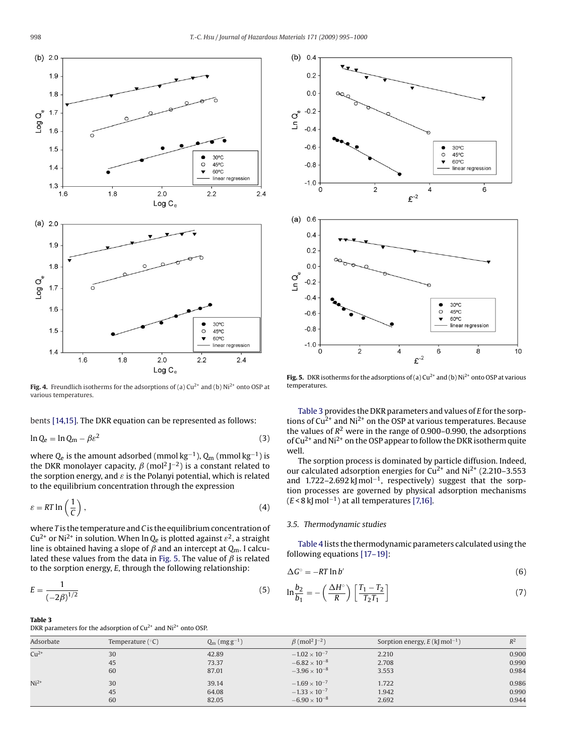<span id="page-3-0"></span>

**Fig. 4.** Freundlich isotherms for the adsorptions of (a) Cu<sup>2+</sup> and (b) Ni<sup>2+</sup> onto OSP at various temperatures.

bents [\[14,15\]. T](#page-5-0)he DKR equation can be represented as follows:

$$
\ln Q_e = \ln Q_m - \beta \varepsilon^2 \tag{3}
$$

where *Q*<sup>e</sup> is the amount adsorbed (mmol kg−1), *Q*<sup>m</sup> (mmol kg−1) is the DKR monolayer capacity,  $\beta$  (mol<sup>2</sup> J<sup>–2</sup>) is a constant related to the sorption energy, and  $\varepsilon$  is the Polanyi potential, which is related to the equilibrium concentration through the expression

$$
\varepsilon = RT \ln\left(\frac{1}{C}\right),\tag{4}
$$

where *T* is the temperature and *C* is the equilibrium concentration of  $Cu^{2+}$  or Ni<sup>2+</sup> in solution. When ln  $Q_e$  is plotted against  $\varepsilon^2$ , a straight line is obtained having a slope of  $\beta$  and an intercept at  $Q_m$ . I calculated these values from the data in Fig. 5. The value of  $\beta$  is related to the sorption energy, *E*, through the following relationship:

$$
E = \frac{1}{(-2\beta)^{1/2}}\tag{5}
$$

#### **Table 3**

DKR parameters for the adsorption of  $Cu^{2+}$  and  $Ni^{2+}$  onto OSP.



**Fig. 5.** DKR isotherms for the adsorptions of (a)  $Cu^{2+}$  and (b)  $Ni^{2+}$  onto OSP at various temperatures.

Table 3 provides the DKR parameters and values of *E* for the sorptions of  $Cu^{2+}$  and Ni<sup>2+</sup> on the OSP at various temperatures. Because the values of  $R^2$  were in the range of 0.900–0.990, the adsorptions of  $Cu^{2+}$  and Ni<sup>2+</sup> on the OSP appear to follow the DKR isotherm quite well.

The sorption process is dominated by particle diffusion. Indeed, our calculated adsorption energies for  $Cu^{2+}$  and  $Ni^{2+}$  (2.210–3.553 and 1.722–2.692 kJ mol<sup>-1</sup>, respectively) suggest that the sorption processes are governed by physical adsorption mechanisms  $(E < 8 \text{ k}$  mol<sup>-1</sup>) at all temperatures [\[7,16\].](#page-5-0)

## *3.5. Thermodynamic studies*

[Table 4](#page-4-0) lists the thermodynamic parameters calculated using the following equations [\[17–19\]:](#page-5-0)

$$
\Delta G^{\circ} = -RT \ln b' \tag{6}
$$

$$
\ln \frac{b_2}{b_1} = -\left(\frac{\Delta H^\circ}{R}\right) \left[\frac{T_1 - T_2}{T_2 T_1}\right] \tag{7}
$$

| Adsorbate | Temperature $(°C)$ | $Q_m$ (mg g <sup>-1</sup> ) | $\beta$ (mol <sup>2</sup> J <sup>-2</sup> ) | Sorption energy, $E$ (kJ mol <sup>-1</sup> ) | $R^2$ |
|-----------|--------------------|-----------------------------|---------------------------------------------|----------------------------------------------|-------|
| $Cu^{2+}$ | 30                 | 42.89                       | $-1.02 \times 10^{-7}$                      | 2.210                                        | 0.900 |
|           | 45                 | 73.37                       | $-6.82 \times 10^{-8}$                      | 2.708                                        | 0.990 |
|           | 60                 | 87.01                       | $-3.96 \times 10^{-8}$                      | 3.553                                        | 0.984 |
| $Ni2+$    | 30                 | 39.14                       | $-1.69 \times 10^{-7}$                      | 1.722                                        | 0.986 |
|           | 45                 | 64.08                       | $-1.33 \times 10^{-7}$                      | 1.942                                        | 0.990 |
|           | 60                 | 82.05                       | $-6.90 \times 10^{-8}$                      | 2.692                                        | 0.944 |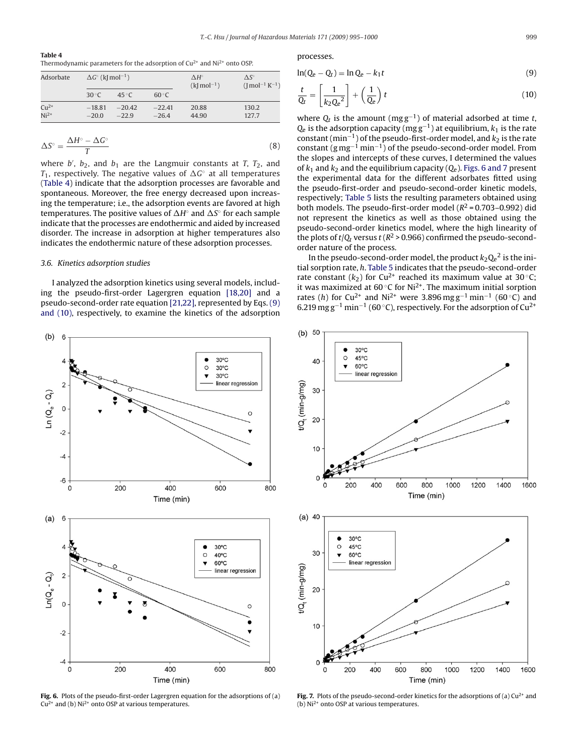#### <span id="page-4-0"></span>**Table 4**

Thermodynamic parameters for the adsorption of  $Cu^{2+}$  and  $Ni^{2+}$  onto OSP.

| Adsorbate |                | $\Delta G^{\circ}$ (k[mol <sup>-1</sup> ) |                |       | $\Lambda S^{\circ}$<br>$($ mol <sup>-1</sup> K <sup>-1</sup> ) |  |
|-----------|----------------|-------------------------------------------|----------------|-------|----------------------------------------------------------------|--|
|           | $30^{\circ}$ C | $45^{\circ}$ C                            | $60^{\circ}$ C |       |                                                                |  |
| $Cu2+$    | $-18.81$       | $-20.42$                                  | $-22.41$       | 20.88 | 130.2                                                          |  |
| $Ni2+$    | $-20.0$        | $-22.9$                                   | $-26.4$        | 44.90 | 127.7                                                          |  |

$$
\Delta S^{\circ} = \frac{\Delta H^{\circ} - \Delta G^{\circ}}{T}
$$
 (8)

where *b'*, *b*<sub>2</sub>, and *b*<sub>1</sub> are the Langmuir constants at *T*, *T*<sub>2</sub>, and  $T_1$ , respectively. The negative values of  $\Delta G^{\circ}$  at all temperatures (Table 4) indicate that the adsorption processes are favorable and spontaneous. Moreover, the free energy decreased upon increasing the temperature; i.e., the adsorption events are favored at high temperatures. The positive values of ∆*H*◦ and ∆S◦ for each sample indicate that the processes are endothermic and aided by increased disorder. The increase in adsorption at higher temperatures also indicates the endothermic nature of these adsorption processes.

#### *3.6. Kinetics adsorption studies*

I analyzed the adsorption kinetics using several models, including the pseudo-first-order Lagergren equation [\[18,20\]](#page-5-0) and a pseudo-second-order rate equation [\[21,22\], r](#page-5-0)epresented by Eqs. (9) and (10), respectively, to examine the kinetics of the adsorption



**Fig. 6.** Plots of the pseudo-first-order Lagergren equation for the adsorptions of (a)  $Cu^{2+}$  and (b) Ni<sup>2+</sup> onto OSP at various temperatures.

processes.

$$
\ln(Q_e - Q_t) = \ln Q_e - k_1 t \tag{9}
$$

$$
\frac{t}{Q_t} = \left[\frac{1}{k_2 Q_e^2}\right] + \left(\frac{1}{Q_e}\right)t\tag{10}
$$

where  $Q_t$  is the amount (mg g<sup>-1</sup>) of material adsorbed at time *t*,  $Q_e$  is the adsorption capacity (mg  $g^{-1}$ ) at equilibrium,  $k_1$  is the rate constant (min<sup>-1</sup>) of the pseudo-first-order model, and *k*<sub>2</sub> is the rate constant  $(g mg^{-1} min^{-1})$  of the pseudo-second-order model. From the slopes and intercepts of these curves, I determined the values of  $k_1$  and  $k_2$  and the equilibrium capacity ( $Q_e$ ). Figs. 6 and 7 present the experimental data for the different adsorbates fitted using the pseudo-first-order and pseudo-second-order kinetic models, respectively; [Table 5](#page-5-0) lists the resulting parameters obtained using both models. The pseudo-first-order model  $(R^2 = 0.703 - 0.992)$  did not represent the kinetics as well as those obtained using the pseudo-second-order kinetics model, where the high linearity of the plots of  $t/Q_t$  versus  $t (R^2 > 0.966)$  confirmed the pseudo-secondorder nature of the process.

In the pseudo-second-order model, the product  $k_2Q_e^2$  is the initial sorption rate, *h*. [Table 5](#page-5-0) indicates that the pseudo-second-order rate constant ( $k_2$ ) for Cu<sup>2+</sup> reached its maximum value at 30 °C; it was maximized at  $60^{\circ}$ C for Ni<sup>2+</sup>. The maximum initial sorption rates (*h*) for Cu<sup>2+</sup> and Ni<sup>2+</sup> were 3.896 mg g<sup>-1</sup> min<sup>-1</sup> (60 °C) and 6.219 mg g<sup>-1</sup> min<sup>-1</sup> (60 °C), respectively. For the adsorption of Cu<sup>2+</sup>



**Fig. 7.** Plots of the pseudo-second-order kinetics for the adsorptions of (a)  $Cu^{2+}$  and (b) Ni2+ onto OSP at various temperatures.